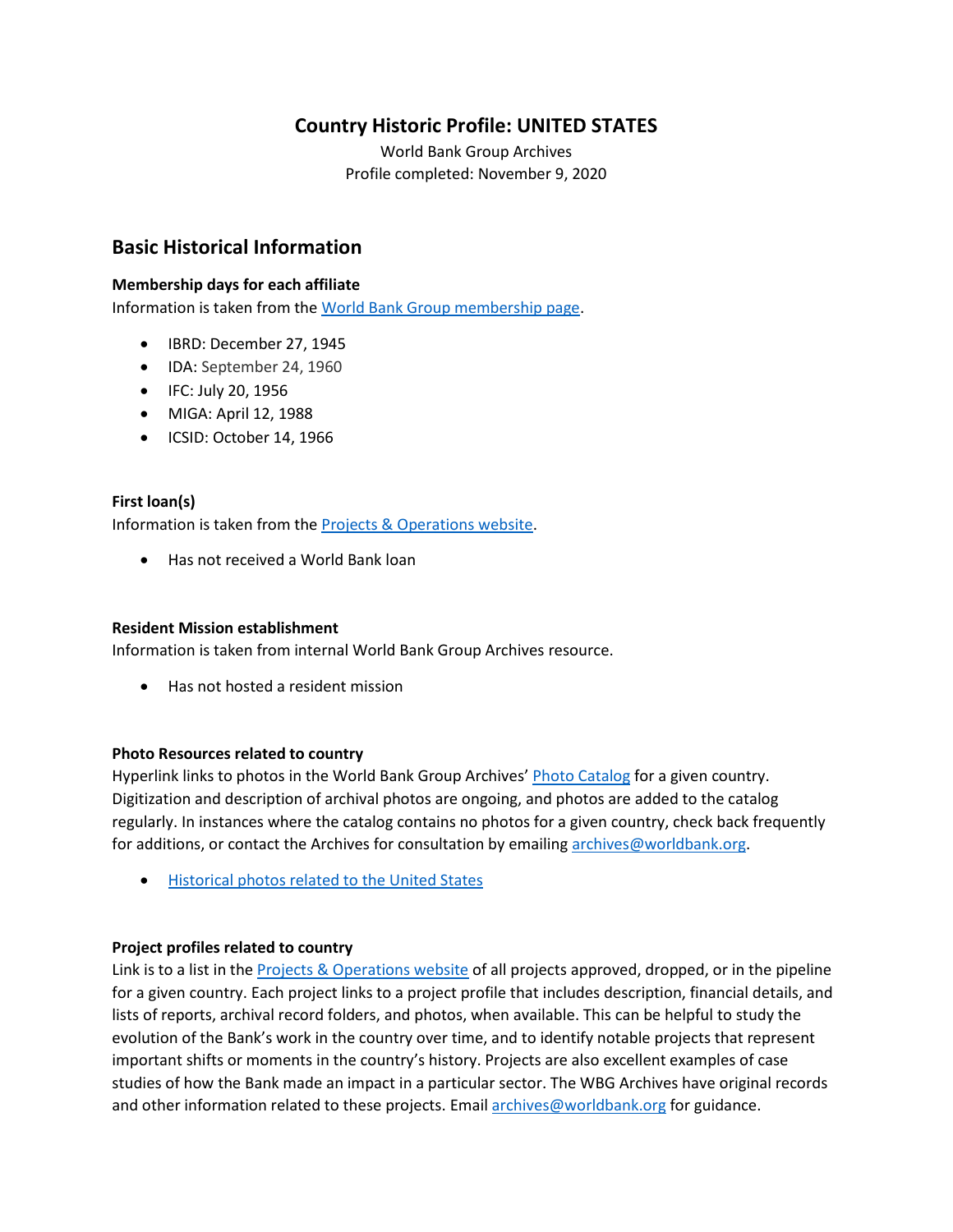## **Country Historic Profile: UNITED STATES**

World Bank Group Archives Profile completed: November 9, 2020

## **Basic Historical Information**

#### **Membership days for each affiliate**

Information is taken from the [World Bank Group membership page.](https://www.worldbank.org/en/about/leadership/members#1)

- IBRD: December 27, 1945
- IDA: September 24, 1960
- IFC: July 20, 1956
- MIGA: April 12, 1988
- ICSID: October 14, 1966

#### **First loan(s)**

Information is taken from the [Projects & Operations website.](https://projects.worldbank.org/)

• Has not received a World Bank loan

#### **Resident Mission establishment**

Information is taken from internal World Bank Group Archives resource.

• Has not hosted a resident mission

#### **Photo Resources related to country**

Hyperlink links to photos in the World Bank Group Archives' [Photo Catalog](https://archivesphotos.worldbank.org/en/about/archives/photo-gallery) for a given country. Digitization and description of archival photos are ongoing, and photos are added to the catalog regularly. In instances where the catalog contains no photos for a given country, check back frequently for additions, or contact the Archives for consultation by emailin[g archives@worldbank.org.](mailto:archives@worldbank.org)

• [Historical photos related to](https://archivesphotos.worldbank.org/en/about/archives/photo-gallery/photo-gallery-landing?&qterm=united%20states) the United States

#### **Project profiles related to country**

Link is to a list in the [Projects & Operations website](https://projects.worldbank.org/) of all projects approved, dropped, or in the pipeline for a given country. Each project links to a project profile that includes description, financial details, and lists of reports, archival record folders, and photos, when available. This can be helpful to study the evolution of the Bank's work in the country over time, and to identify notable projects that represent important shifts or moments in the country's history. Projects are also excellent examples of case studies of how the Bank made an impact in a particular sector. The WBG Archives have original records and other information related to these projects. Email [archives@worldbank.org](mailto:archives@worldbank.org) for guidance.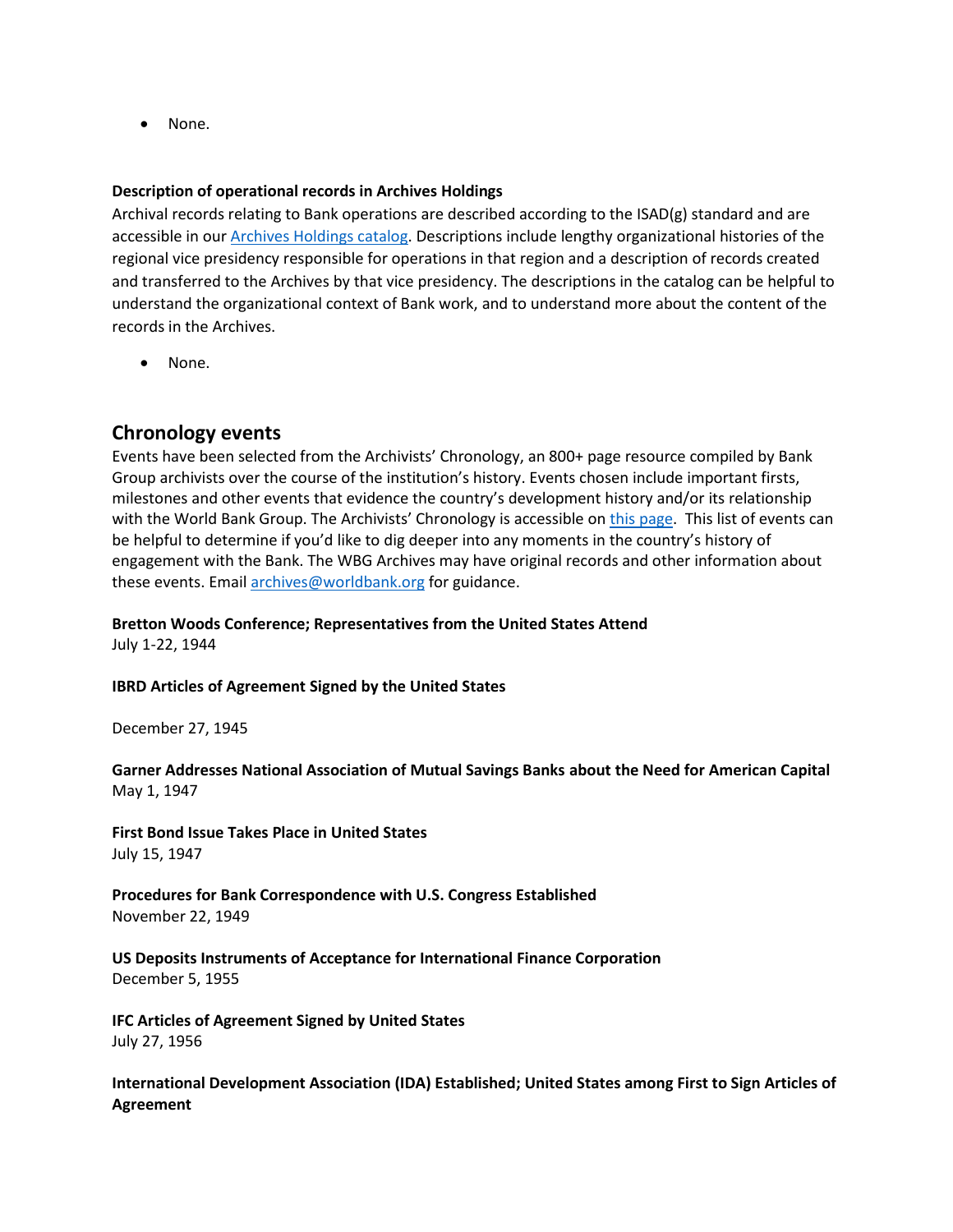• None.

#### **Description of operational records in Archives Holdings**

Archival records relating to Bank operations are described according to the ISAD(g) standard and are accessible in our [Archives Holdings catalog.](https://archivesholdings.worldbank.org/) Descriptions include lengthy organizational histories of the regional vice presidency responsible for operations in that region and a description of records created and transferred to the Archives by that vice presidency. The descriptions in the catalog can be helpful to understand the organizational context of Bank work, and to understand more about the content of the records in the Archives.

• None.

## **Chronology events**

Events have been selected from the Archivists' Chronology, an 800+ page resource compiled by Bank Group archivists over the course of the institution's history. Events chosen include important firsts, milestones and other events that evidence the country's development history and/or its relationship with the World Bank Group. The Archivists' Chronology is accessible on [this page.](https://www.worldbank.org/en/about/archives/history/timeline) This list of events can be helpful to determine if you'd like to dig deeper into any moments in the country's history of engagement with the Bank. The WBG Archives may have original records and other information about these events. Email [archives@worldbank.org](mailto:archives@worldbank.org) for guidance.

#### **Bretton Woods Conference; Representatives from the United States Attend**

July 1-22, 1944

#### **IBRD Articles of Agreement Signed by the United States**

December 27, 1945

**Garner Addresses National Association of Mutual Savings Banks about the Need for American Capital** May 1, 1947

**First Bond Issue Takes Place in United States** July 15, 1947

**Procedures for Bank Correspondence with U.S. Congress Established** November 22, 1949

**US Deposits Instruments of Acceptance for International Finance Corporation** December 5, 1955

**IFC Articles of Agreement Signed by United States** July 27, 1956

**International Development Association (IDA) Established; United States among First to Sign Articles of Agreement**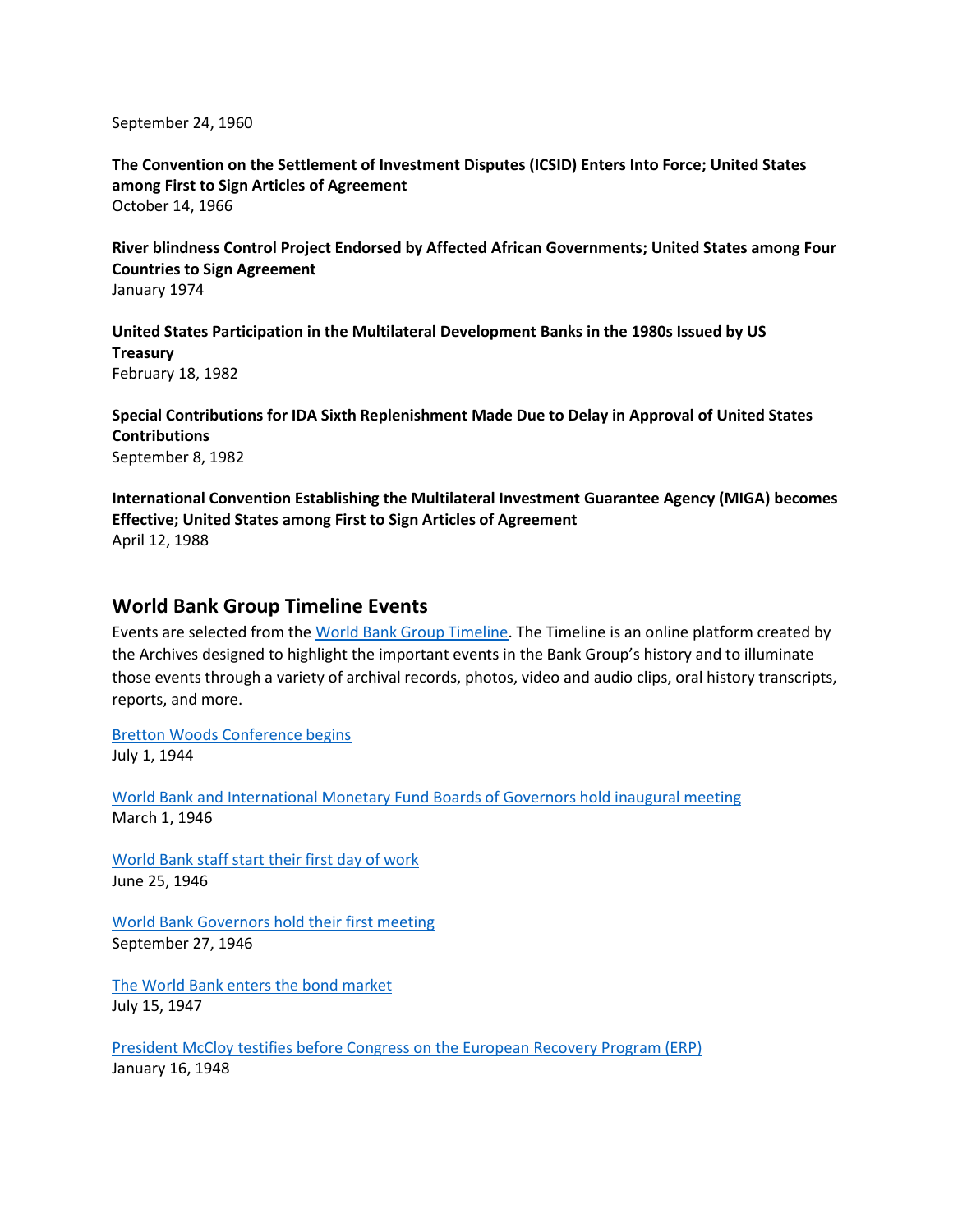September 24, 1960

**The Convention on the Settlement of Investment Disputes (ICSID) Enters Into Force; United States among First to Sign Articles of Agreement** October 14, 1966

**River blindness Control Project Endorsed by Affected African Governments; United States among Four Countries to Sign Agreement** January 1974

**United States Participation in the Multilateral Development Banks in the 1980s Issued by US Treasury** February 18, 1982

**Special Contributions for IDA Sixth Replenishment Made Due to Delay in Approval of United States Contributions** September 8, 1982

**International Convention Establishing the Multilateral Investment Guarantee Agency (MIGA) becomes Effective; United States among First to Sign Articles of Agreement** April 12, 1988

### **World Bank Group Timeline Events**

Events are selected from th[e World Bank Group Timeline.](https://timeline.worldbank.org/#event-bretton-woods-conference-begins) The Timeline is an online platform created by the Archives designed to highlight the important events in the Bank Group's history and to illuminate those events through a variety of archival records, photos, video and audio clips, oral history transcripts, reports, and more.

[Bretton Woods Conference begins](https://timeline.worldbank.org/?field_timeline_target_id=All&combine=US#event-bretton-woods-conference-begins) July 1, 1944

[World Bank and International Monetary Fund Boards of Governors hold inaugural meeting](https://timeline.worldbank.org/?field_timeline_target_id=All&combine=US#event-world-bank-and-international-monetary-fund-boards-of-governors-hold-inaugural-meeting) March 1, 1946

[World Bank staff start their first day of work](https://timeline.worldbank.org/?field_timeline_target_id=All&combine=US#event-world-bank-staff-start-their-first-day-of-work) June 25, 1946

[World Bank Governors hold their first meeting](https://timeline.worldbank.org/?field_timeline_target_id=All&combine=U.S.#event-world-bank-governors-hold-their-first-meeting) September 27, 1946

[The World Bank enters the bond market](https://timeline.worldbank.org/?field_timeline_target_id=All&combine=US#event-the-world-bank-enters-the-bond-market) July 15, 1947

[President McCloy testifies before Congress on the European Recovery Program \(ERP\)](https://timeline.worldbank.org/?field_timeline_target_id=All&combine=US#event-president-mccloy-testifies-before-congress-on-the-european-recovery-program-erp) January 16, 1948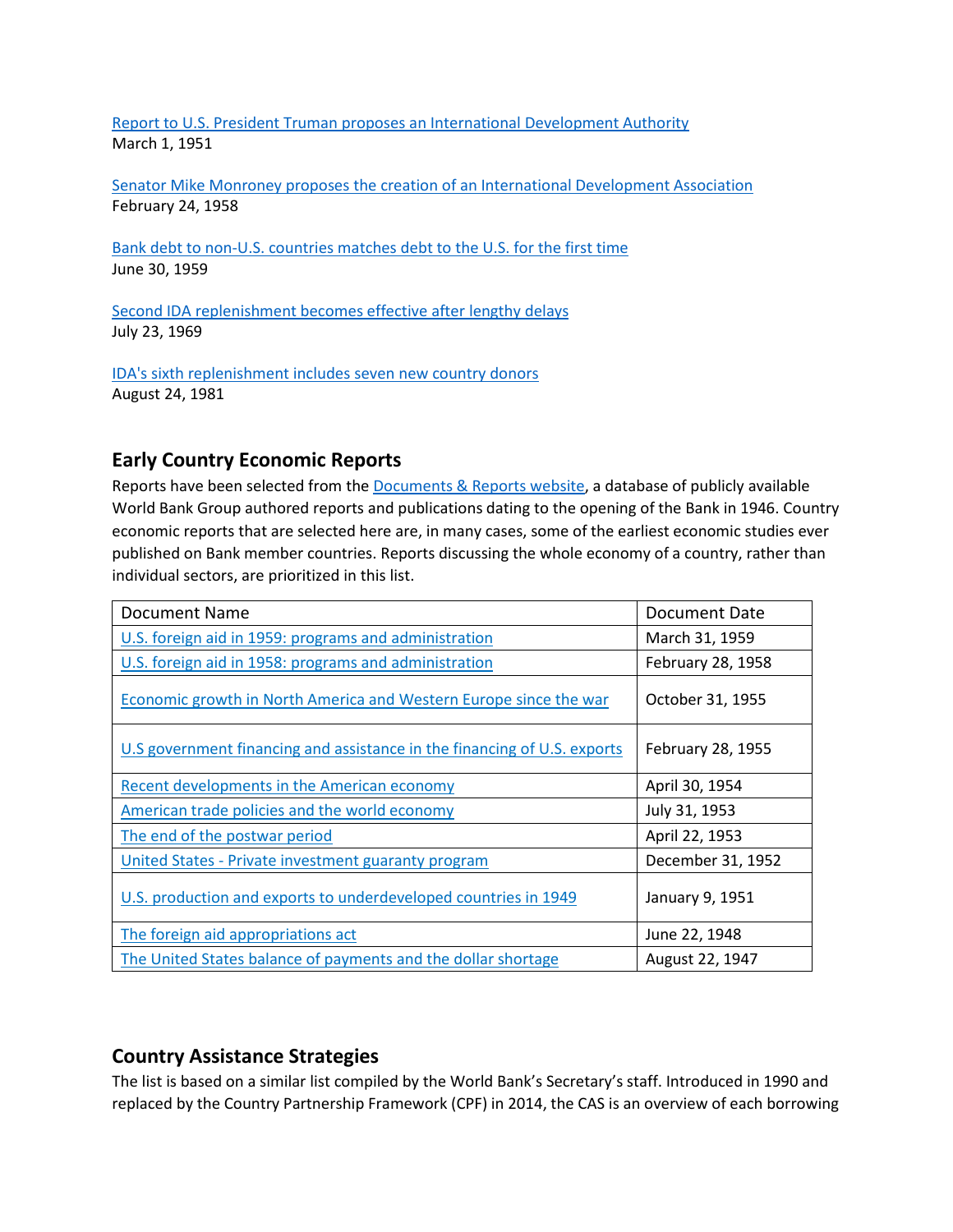[Report to U.S. President Truman proposes an International Development Authority](https://timeline.worldbank.org/?field_timeline_target_id=All&combine=US#event-report-to-us-president-truman-proposes-an-international-development-authority) March 1, 1951

[Senator Mike Monroney proposes the creation of an International Development Association](https://timeline.worldbank.org/?field_timeline_target_id=All&combine=US#event-senator-mike-monroney-proposes-the-creation-of-an-international-development-association) February 24, 1958

[Bank debt to non-U.S. countries matches debt to](https://timeline.worldbank.org/?field_timeline_target_id=All&combine=U.S.#event-bank-debt-to-non-us-countries-matches-debt-to-the-us-for-the-first-time) the U.S. for the first time June 30, 1959

[Second IDA replenishment becomes effective after lengthy delays](https://timeline.worldbank.org/?field_timeline_target_id=All&combine=US#event-second-ida-replenishment-becomes-effective-after-lengthy-delays) July 23, 1969

[IDA's sixth replenishment includes seven new country donors](https://timeline.worldbank.org/?field_timeline_target_id=All&combine=US#event-ida039-s-sixth-replenishment-includes-seven-new-country-donors) August 24, 1981

## **Early Country Economic Reports**

Reports have been selected from the **Documents & Reports website**, a database of publicly available World Bank Group authored reports and publications dating to the opening of the Bank in 1946. Country economic reports that are selected here are, in many cases, some of the earliest economic studies ever published on Bank member countries. Reports discussing the whole economy of a country, rather than individual sectors, are prioritized in this list.

| Document Name                                                            | Document Date     |
|--------------------------------------------------------------------------|-------------------|
| U.S. foreign aid in 1959: programs and administration                    | March 31, 1959    |
| U.S. foreign aid in 1958: programs and administration                    | February 28, 1958 |
| Economic growth in North America and Western Europe since the war        | October 31, 1955  |
| U.S government financing and assistance in the financing of U.S. exports | February 28, 1955 |
| Recent developments in the American economy                              | April 30, 1954    |
| American trade policies and the world economy                            | July 31, 1953     |
| The end of the postwar period                                            | April 22, 1953    |
| United States - Private investment guaranty program                      | December 31, 1952 |
| U.S. production and exports to underdeveloped countries in 1949          | January 9, 1951   |
| The foreign aid appropriations act                                       | June 22, 1948     |
| The United States balance of payments and the dollar shortage            | August 22, 1947   |

## **Country Assistance Strategies**

The list is based on a similar list compiled by the World Bank's Secretary's staff. Introduced in 1990 and replaced by the Country Partnership Framework (CPF) in 2014, the CAS is an overview of each borrowing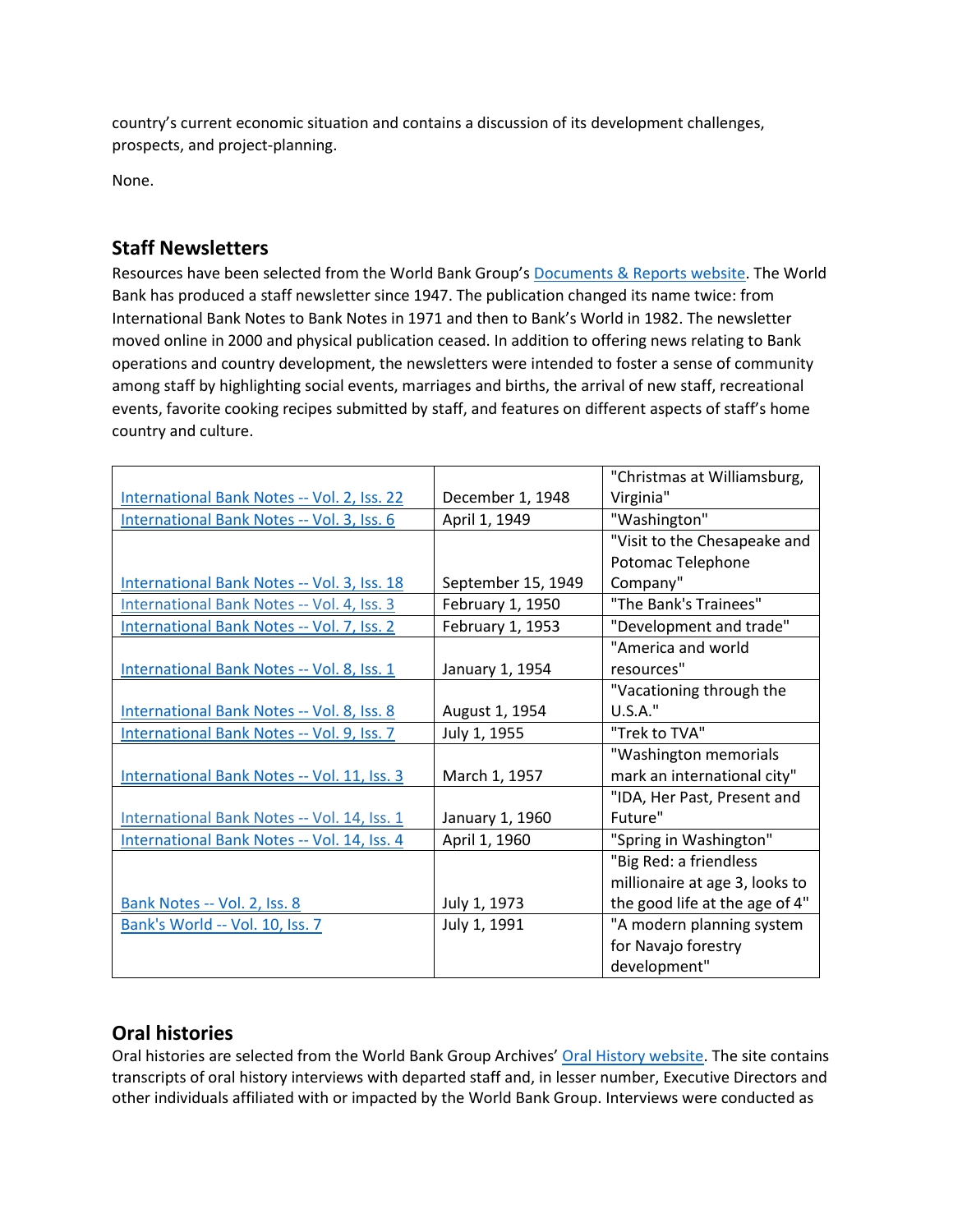country's current economic situation and contains a discussion of its development challenges, prospects, and project-planning.

None.

# **Staff Newsletters**

Resources have been selected from the World Bank Group's [Documents & Reports website.](https://documents.worldbank.org/) The World Bank has produced a staff newsletter since 1947. The publication changed its name twice: from International Bank Notes to Bank Notes in 1971 and then to Bank's World in 1982. The newsletter moved online in 2000 and physical publication ceased. In addition to offering news relating to Bank operations and country development, the newsletters were intended to foster a sense of community among staff by highlighting social events, marriages and births, the arrival of new staff, recreational events, favorite cooking recipes submitted by staff, and features on different aspects of staff's home country and culture.

|                                             |                    | "Christmas at Williamsburg,    |
|---------------------------------------------|--------------------|--------------------------------|
| International Bank Notes -- Vol. 2, Iss. 22 | December 1, 1948   | Virginia"                      |
| International Bank Notes -- Vol. 3, Iss. 6  | April 1, 1949      | "Washington"                   |
|                                             |                    | "Visit to the Chesapeake and   |
|                                             |                    | Potomac Telephone              |
| International Bank Notes -- Vol. 3, Iss. 18 | September 15, 1949 | Company"                       |
| International Bank Notes -- Vol. 4, Iss. 3  | February 1, 1950   | "The Bank's Trainees"          |
| International Bank Notes -- Vol. 7, Iss. 2  | February 1, 1953   | "Development and trade"        |
|                                             |                    | "America and world             |
| International Bank Notes -- Vol. 8, Iss. 1  | January 1, 1954    | resources"                     |
|                                             |                    | "Vacationing through the       |
| International Bank Notes -- Vol. 8, Iss. 8  | August 1, 1954     | U.S.A."                        |
| International Bank Notes -- Vol. 9, Iss. 7  | July 1, 1955       | "Trek to TVA"                  |
|                                             |                    | "Washington memorials          |
| International Bank Notes -- Vol. 11, Iss. 3 | March 1, 1957      | mark an international city"    |
|                                             |                    | "IDA, Her Past, Present and    |
| International Bank Notes -- Vol. 14, Iss. 1 | January 1, 1960    | Future"                        |
| International Bank Notes -- Vol. 14, Iss. 4 | April 1, 1960      | "Spring in Washington"         |
|                                             |                    | "Big Red: a friendless         |
|                                             |                    | millionaire at age 3, looks to |
| Bank Notes -- Vol. 2, Iss. 8                | July 1, 1973       | the good life at the age of 4" |
| Bank's World -- Vol. 10, Iss. 7             | July 1, 1991       | "A modern planning system      |
|                                             |                    | for Navajo forestry            |
|                                             |                    | development"                   |

## **Oral histories**

Oral histories are selected from the World Bank Group Archives' [Oral History website.](https://oralhistory.worldbank.org/) The site contains transcripts of oral history interviews with departed staff and, in lesser number, Executive Directors and other individuals affiliated with or impacted by the World Bank Group. Interviews were conducted as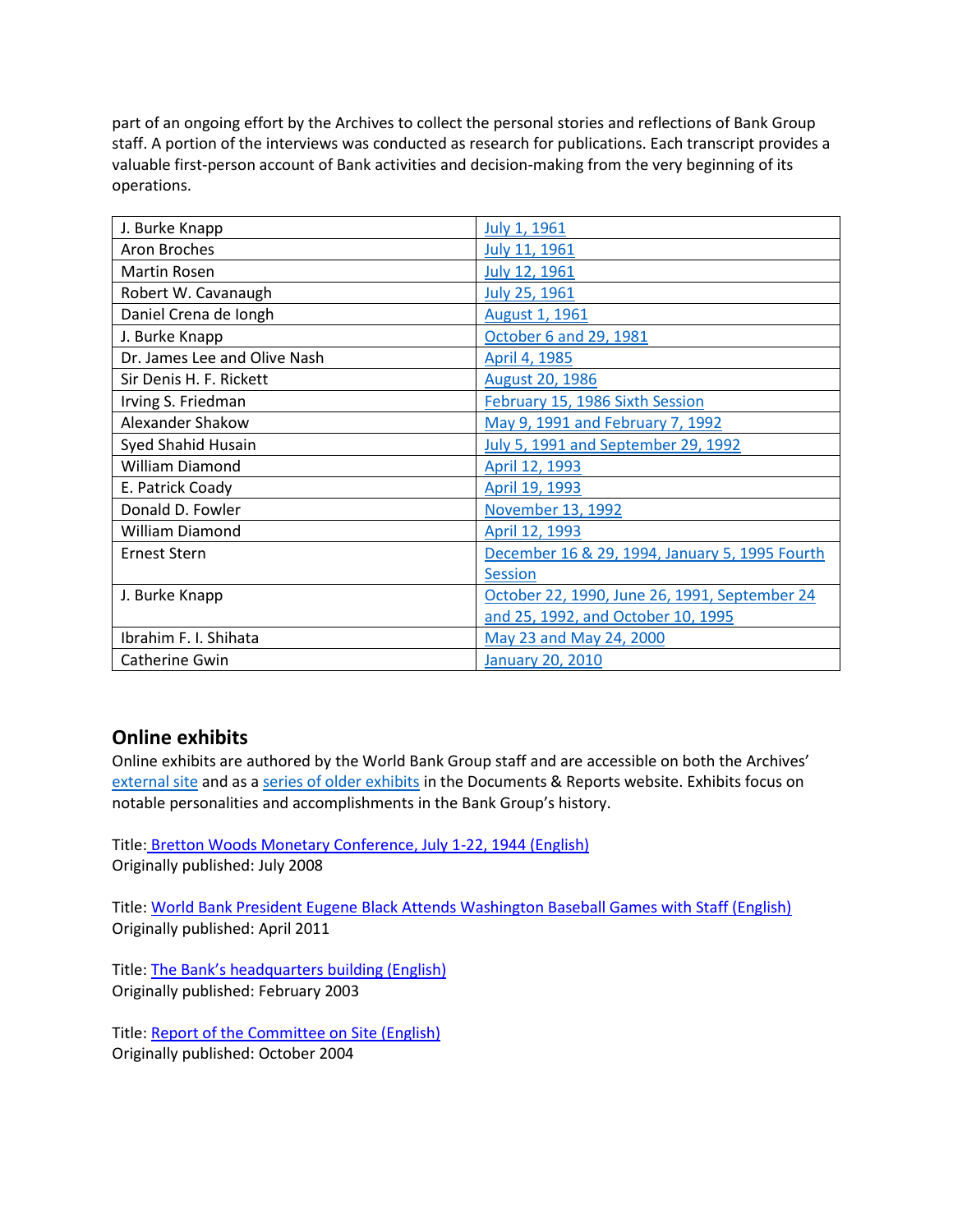part of an ongoing effort by the Archives to collect the personal stories and reflections of Bank Group staff. A portion of the interviews was conducted as research for publications. Each transcript provides a valuable first-person account of Bank activities and decision-making from the very beginning of its operations.

| J. Burke Knapp               | July 1, 1961                                   |
|------------------------------|------------------------------------------------|
| <b>Aron Broches</b>          | July 11, 1961                                  |
| Martin Rosen                 | July 12, 1961                                  |
| Robert W. Cavanaugh          | July 25, 1961                                  |
| Daniel Crena de Iongh        | <b>August 1, 1961</b>                          |
| J. Burke Knapp               | October 6 and 29, 1981                         |
| Dr. James Lee and Olive Nash | April 4, 1985                                  |
| Sir Denis H. F. Rickett      | <b>August 20, 1986</b>                         |
| Irving S. Friedman           | February 15, 1986 Sixth Session                |
| Alexander Shakow             | May 9, 1991 and February 7, 1992               |
| Syed Shahid Husain           | <b>July 5, 1991 and September 29, 1992</b>     |
| <b>William Diamond</b>       | April 12, 1993                                 |
| E. Patrick Coady             | April 19, 1993                                 |
| Donald D. Fowler             | November 13, 1992                              |
| <b>William Diamond</b>       | April 12, 1993                                 |
| <b>Ernest Stern</b>          | December 16 & 29, 1994, January 5, 1995 Fourth |
|                              | <b>Session</b>                                 |
| J. Burke Knapp               | October 22, 1990, June 26, 1991, September 24  |
|                              | and 25, 1992, and October 10, 1995             |
| Ibrahim F. I. Shihata        | May 23 and May 24, 2000                        |
| Catherine Gwin               | <b>January 20, 2010</b>                        |

## **Online exhibits**

Online exhibits are authored by the World Bank Group staff and are accessible on both the Archives' [external site](https://www.worldbank.org/en/about/archives/history/exhibits) and as a [series of older exhibits](https://documents.worldbank.org/en/publication/documents-reports/documentlist?colti=World%20Bank%20Group%20Archives%20exhibit%20series) in the Documents & Reports website. Exhibits focus on notable personalities and accomplishments in the Bank Group's history.

Title: [Bretton Woods Monetary Conference, July 1-22, 1944 \(English\)](http://documents.worldbank.org/curated/en/538791468000300309/Bretton-Woods-Monetary-Conference-July-1-22-1944) Originally published: July 2008

Title: [World Bank President Eugene Black Attends Washington Baseball Games with Staff \(English\)](http://documents.worldbank.org/curated/en/333791468179072837/World-Bank-President-Eugene-Black-Attends-Washington-Baseball-Games-with-Staff) Originally published: April 2011

Title: [The Bank's headquarters building \(English\)](http://documents.worldbank.org/curated/en/471941468185346563/The-Bank-s-headquarters-building) Originally published: February 2003

Title: [Report of the Committee on Site \(English\)](http://documents.worldbank.org/curated/en/843441468196178372/Report-of-the-Committee-on-Site) Originally published: October 2004